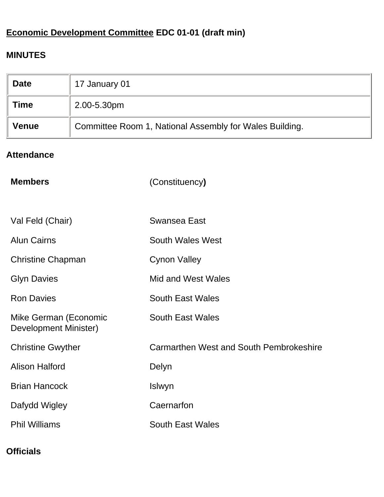# **Economic Development Committee EDC 01-01 (draft min)**

# **MINUTES**

| <b>Date</b>                                                             | 17 January 01 |
|-------------------------------------------------------------------------|---------------|
| <b>Time</b>                                                             | 2.00-5.30pm   |
| Committee Room 1, National Assembly for Wales Building.<br><b>Venue</b> |               |

## **Attendance**

| <b>Members</b>                                 | (Constituency)                          |
|------------------------------------------------|-----------------------------------------|
|                                                |                                         |
| Val Feld (Chair)                               | Swansea East                            |
| <b>Alun Cairns</b>                             | <b>South Wales West</b>                 |
| <b>Christine Chapman</b>                       | <b>Cynon Valley</b>                     |
| <b>Glyn Davies</b>                             | Mid and West Wales                      |
| <b>Ron Davies</b>                              | <b>South East Wales</b>                 |
| Mike German (Economic<br>Development Minister) | <b>South East Wales</b>                 |
| <b>Christine Gwyther</b>                       | Carmarthen West and South Pembrokeshire |
| <b>Alison Halford</b>                          | Delyn                                   |
| <b>Brian Hancock</b>                           | Islwyn                                  |
| Dafydd Wigley                                  | Caernarfon                              |
| <b>Phil Williams</b>                           | <b>South East Wales</b>                 |

# **Officials**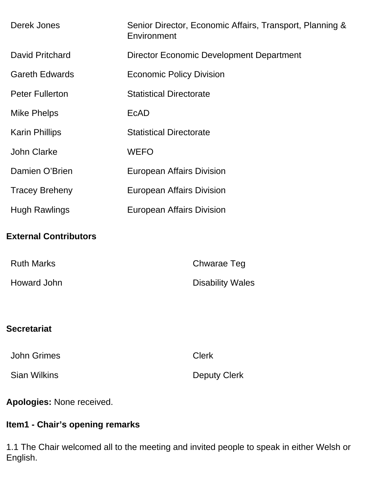| Derek Jones                  | Senior Director, Economic Affairs, Transport, Planning &<br>Environment |  |
|------------------------------|-------------------------------------------------------------------------|--|
| <b>David Pritchard</b>       | <b>Director Economic Development Department</b>                         |  |
| <b>Gareth Edwards</b>        | <b>Economic Policy Division</b>                                         |  |
| <b>Peter Fullerton</b>       | <b>Statistical Directorate</b>                                          |  |
| <b>Mike Phelps</b>           | <b>EcAD</b>                                                             |  |
| <b>Karin Phillips</b>        | <b>Statistical Directorate</b>                                          |  |
| <b>John Clarke</b>           | <b>WEFO</b>                                                             |  |
| Damien O'Brien               | <b>European Affairs Division</b>                                        |  |
| <b>Tracey Breheny</b>        | <b>European Affairs Division</b>                                        |  |
| <b>Hugh Rawlings</b>         | <b>European Affairs Division</b>                                        |  |
| <b>External Contributors</b> |                                                                         |  |
| <b>Ruth Marks</b>            | <b>Chwarae Teg</b>                                                      |  |
| <b>Howard John</b>           | <b>Disability Wales</b>                                                 |  |
| <b>Secretariat</b>           |                                                                         |  |
|                              |                                                                         |  |
| <b>John Grimes</b>           | <b>Clerk</b>                                                            |  |
| <b>Sian Wilkins</b>          | <b>Deputy Clerk</b>                                                     |  |
| Apologies: None received.    |                                                                         |  |

# **Item1 - Chair's opening remarks**

1.1 The Chair welcomed all to the meeting and invited people to speak in either Welsh or English.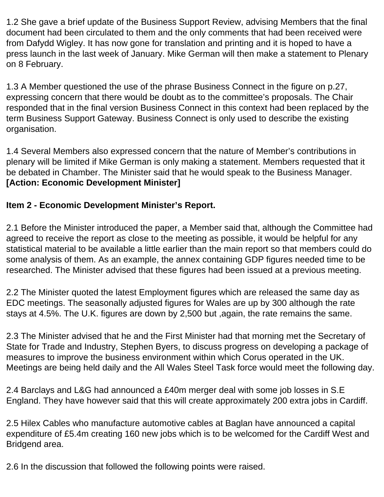1.2 She gave a brief update of the Business Support Review, advising Members that the final document had been circulated to them and the only comments that had been received were from Dafydd Wigley. It has now gone for translation and printing and it is hoped to have a press launch in the last week of January. Mike German will then make a statement to Plenary on 8 February.

1.3 A Member questioned the use of the phrase Business Connect in the figure on p.27, expressing concern that there would be doubt as to the committee's proposals. The Chair responded that in the final version Business Connect in this context had been replaced by the term Business Support Gateway. Business Connect is only used to describe the existing organisation.

1.4 Several Members also expressed concern that the nature of Member's contributions in plenary will be limited if Mike German is only making a statement. Members requested that it be debated in Chamber. The Minister said that he would speak to the Business Manager. **[Action: Economic Development Minister]**

## **Item 2 - Economic Development Minister's Report.**

2.1 Before the Minister introduced the paper, a Member said that, although the Committee had agreed to receive the report as close to the meeting as possible, it would be helpful for any statistical material to be available a little earlier than the main report so that members could do some analysis of them. As an example, the annex containing GDP figures needed time to be researched. The Minister advised that these figures had been issued at a previous meeting.

2.2 The Minister quoted the latest Employment figures which are released the same day as EDC meetings. The seasonally adjusted figures for Wales are up by 300 although the rate stays at 4.5%. The U.K. figures are down by 2,500 but ,again, the rate remains the same.

2.3 The Minister advised that he and the First Minister had that morning met the Secretary of State for Trade and Industry, Stephen Byers, to discuss progress on developing a package of measures to improve the business environment within which Corus operated in the UK. Meetings are being held daily and the All Wales Steel Task force would meet the following day.

2.4 Barclays and L&G had announced a £40m merger deal with some job losses in S.E England. They have however said that this will create approximately 200 extra jobs in Cardiff.

2.5 Hilex Cables who manufacture automotive cables at Baglan have announced a capital expenditure of £5.4m creating 160 new jobs which is to be welcomed for the Cardiff West and Bridgend area.

2.6 In the discussion that followed the following points were raised.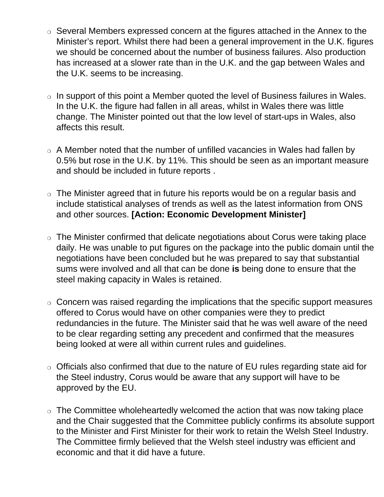- ❍ Several Members expressed concern at the figures attached in the Annex to the Minister's report. Whilst there had been a general improvement in the U.K. figures we should be concerned about the number of business failures. Also production has increased at a slower rate than in the U.K. and the gap between Wales and the U.K. seems to be increasing.
- $\circ$  In support of this point a Member quoted the level of Business failures in Wales. In the U.K. the figure had fallen in all areas, whilst in Wales there was little change. The Minister pointed out that the low level of start-ups in Wales, also affects this result.
- ❍ A Member noted that the number of unfilled vacancies in Wales had fallen by 0.5% but rose in the U.K. by 11%. This should be seen as an important measure and should be included in future reports .
- ❍ The Minister agreed that in future his reports would be on a regular basis and include statistical analyses of trends as well as the latest information from ONS and other sources. **[Action: Economic Development Minister]**
- ❍ The Minister confirmed that delicate negotiations about Corus were taking place daily. He was unable to put figures on the package into the public domain until the negotiations have been concluded but he was prepared to say that substantial sums were involved and all that can be done **is** being done to ensure that the steel making capacity in Wales is retained.
- ❍ Concern was raised regarding the implications that the specific support measures offered to Corus would have on other companies were they to predict redundancies in the future. The Minister said that he was well aware of the need to be clear regarding setting any precedent and confirmed that the measures being looked at were all within current rules and guidelines.
- ❍ Officials also confirmed that due to the nature of EU rules regarding state aid for the Steel industry, Corus would be aware that any support will have to be approved by the EU.
- $\circ$  The Committee wholeheartedly welcomed the action that was now taking place and the Chair suggested that the Committee publicly confirms its absolute support to the Minister and First Minister for their work to retain the Welsh Steel Industry. The Committee firmly believed that the Welsh steel industry was efficient and economic and that it did have a future.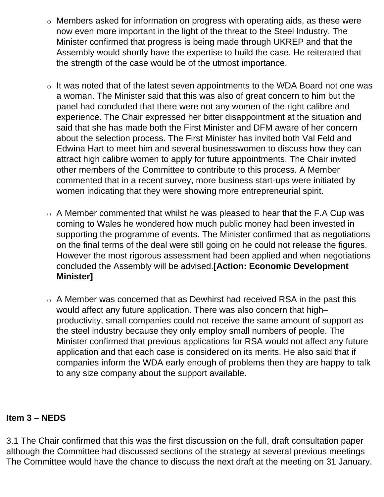- Members asked for information on progress with operating aids, as these were now even more important in the light of the threat to the Steel Industry. The Minister confirmed that progress is being made through UKREP and that the Assembly would shortly have the expertise to build the case. He reiterated that the strength of the case would be of the utmost importance.
- ❍ It was noted that of the latest seven appointments to the WDA Board not one was a woman. The Minister said that this was also of great concern to him but the panel had concluded that there were not any women of the right calibre and experience. The Chair expressed her bitter disappointment at the situation and said that she has made both the First Minister and DFM aware of her concern about the selection process. The First Minister has invited both Val Feld and Edwina Hart to meet him and several businesswomen to discuss how they can attract high calibre women to apply for future appointments. The Chair invited other members of the Committee to contribute to this process. A Member commented that in a recent survey, more business start-ups were initiated by women indicating that they were showing more entrepreneurial spirit.
- $\circ$  A Member commented that whilst he was pleased to hear that the F.A Cup was coming to Wales he wondered how much public money had been invested in supporting the programme of events. The Minister confirmed that as negotiations on the final terms of the deal were still going on he could not release the figures. However the most rigorous assessment had been applied and when negotiations concluded the Assembly will be advised.**[Action: Economic Development Minister]**
- ❍ A Member was concerned that as Dewhirst had received RSA in the past this would affect any future application. There was also concern that high– productivity, small companies could not receive the same amount of support as the steel industry because they only employ small numbers of people. The Minister confirmed that previous applications for RSA would not affect any future application and that each case is considered on its merits. He also said that if companies inform the WDA early enough of problems then they are happy to talk to any size company about the support available.

#### **Item 3 – NEDS**

3.1 The Chair confirmed that this was the first discussion on the full, draft consultation paper although the Committee had discussed sections of the strategy at several previous meetings The Committee would have the chance to discuss the next draft at the meeting on 31 January.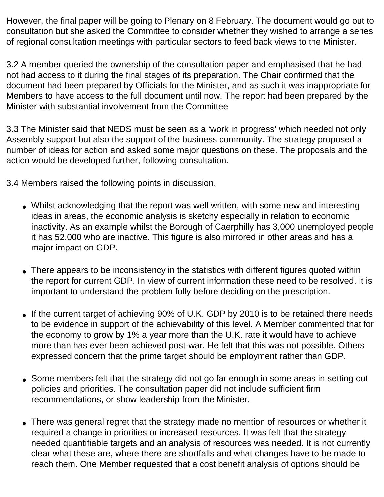However, the final paper will be going to Plenary on 8 February. The document would go out to consultation but she asked the Committee to consider whether they wished to arrange a series of regional consultation meetings with particular sectors to feed back views to the Minister.

3.2 A member queried the ownership of the consultation paper and emphasised that he had not had access to it during the final stages of its preparation. The Chair confirmed that the document had been prepared by Officials for the Minister, and as such it was inappropriate for Members to have access to the full document until now. The report had been prepared by the Minister with substantial involvement from the Committee

3.3 The Minister said that NEDS must be seen as a 'work in progress' which needed not only Assembly support but also the support of the business community. The strategy proposed a number of ideas for action and asked some major questions on these. The proposals and the action would be developed further, following consultation.

3.4 Members raised the following points in discussion.

- Whilst acknowledging that the report was well written, with some new and interesting ideas in areas, the economic analysis is sketchy especially in relation to economic inactivity. As an example whilst the Borough of Caerphilly has 3,000 unemployed people it has 52,000 who are inactive. This figure is also mirrored in other areas and has a major impact on GDP.
- There appears to be inconsistency in the statistics with different figures quoted within the report for current GDP. In view of current information these need to be resolved. It is important to understand the problem fully before deciding on the prescription.
- If the current target of achieving 90% of U.K. GDP by 2010 is to be retained there needs to be evidence in support of the achievability of this level. A Member commented that for the economy to grow by 1% a year more than the U.K. rate it would have to achieve more than has ever been achieved post-war. He felt that this was not possible. Others expressed concern that the prime target should be employment rather than GDP.
- Some members felt that the strategy did not go far enough in some areas in setting out policies and priorities. The consultation paper did not include sufficient firm recommendations, or show leadership from the Minister.
- There was general regret that the strategy made no mention of resources or whether it required a change in priorities or increased resources. It was felt that the strategy needed quantifiable targets and an analysis of resources was needed. It is not currently clear what these are, where there are shortfalls and what changes have to be made to reach them. One Member requested that a cost benefit analysis of options should be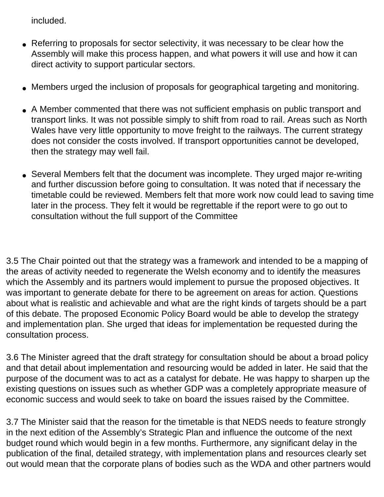included.

- Referring to proposals for sector selectivity, it was necessary to be clear how the Assembly will make this process happen, and what powers it will use and how it can direct activity to support particular sectors.
- Members urged the inclusion of proposals for geographical targeting and monitoring.
- A Member commented that there was not sufficient emphasis on public transport and transport links. It was not possible simply to shift from road to rail. Areas such as North Wales have very little opportunity to move freight to the railways. The current strategy does not consider the costs involved. If transport opportunities cannot be developed, then the strategy may well fail.
- Several Members felt that the document was incomplete. They urged major re-writing and further discussion before going to consultation. It was noted that if necessary the timetable could be reviewed. Members felt that more work now could lead to saving time later in the process. They felt it would be regrettable if the report were to go out to consultation without the full support of the Committee

3.5 The Chair pointed out that the strategy was a framework and intended to be a mapping of the areas of activity needed to regenerate the Welsh economy and to identify the measures which the Assembly and its partners would implement to pursue the proposed objectives. It was important to generate debate for there to be agreement on areas for action. Questions about what is realistic and achievable and what are the right kinds of targets should be a part of this debate. The proposed Economic Policy Board would be able to develop the strategy and implementation plan. She urged that ideas for implementation be requested during the consultation process.

3.6 The Minister agreed that the draft strategy for consultation should be about a broad policy and that detail about implementation and resourcing would be added in later. He said that the purpose of the document was to act as a catalyst for debate. He was happy to sharpen up the existing questions on issues such as whether GDP was a completely appropriate measure of economic success and would seek to take on board the issues raised by the Committee.

3.7 The Minister said that the reason for the timetable is that NEDS needs to feature strongly in the next edition of the Assembly's Strategic Plan and influence the outcome of the next budget round which would begin in a few months. Furthermore, any significant delay in the publication of the final, detailed strategy, with implementation plans and resources clearly set out would mean that the corporate plans of bodies such as the WDA and other partners would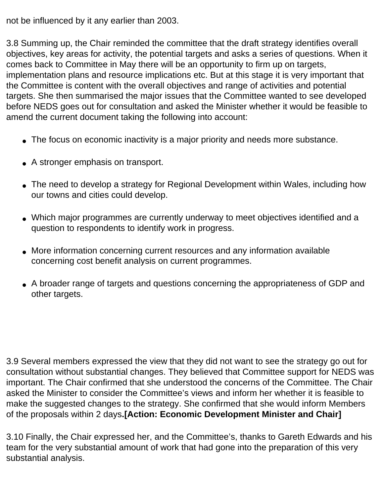not be influenced by it any earlier than 2003.

3.8 Summing up, the Chair reminded the committee that the draft strategy identifies overall objectives, key areas for activity, the potential targets and asks a series of questions. When it comes back to Committee in May there will be an opportunity to firm up on targets, implementation plans and resource implications etc. But at this stage it is very important that the Committee is content with the overall objectives and range of activities and potential targets. She then summarised the major issues that the Committee wanted to see developed before NEDS goes out for consultation and asked the Minister whether it would be feasible to amend the current document taking the following into account:

- The focus on economic inactivity is a major priority and needs more substance.
- A stronger emphasis on transport.
- The need to develop a strategy for Regional Development within Wales, including how our towns and cities could develop.
- Which major programmes are currently underway to meet objectives identified and a question to respondents to identify work in progress.
- More information concerning current resources and any information available concerning cost benefit analysis on current programmes.
- A broader range of targets and questions concerning the appropriateness of GDP and other targets.

3.9 Several members expressed the view that they did not want to see the strategy go out for consultation without substantial changes. They believed that Committee support for NEDS was important. The Chair confirmed that she understood the concerns of the Committee. The Chair asked the Minister to consider the Committee's views and inform her whether it is feasible to make the suggested changes to the strategy. She confirmed that she would inform Members of the proposals within 2 days**.[Action: Economic Development Minister and Chair]**

3.10 Finally, the Chair expressed her, and the Committee's, thanks to Gareth Edwards and his team for the very substantial amount of work that had gone into the preparation of this very substantial analysis.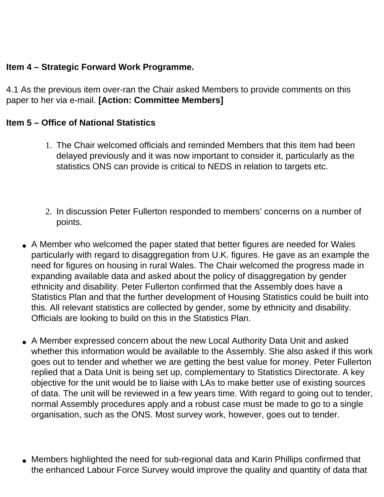#### **Item 4 – Strategic Forward Work Programme.**

4.1 As the previous item over-ran the Chair asked Members to provide comments on this paper to her via e-mail. **[Action: Committee Members]** 

#### **Item 5 – Office of National Statistics**

- 1. The Chair welcomed officials and reminded Members that this item had been delayed previously and it was now important to consider it, particularly as the statistics ONS can provide is critical to NEDS in relation to targets etc.
- 2. In discussion Peter Fullerton responded to members' concerns on a number of points.
- A Member who welcomed the paper stated that better figures are needed for Wales particularly with regard to disaggregation from U.K. figures. He gave as an example the need for figures on housing in rural Wales. The Chair welcomed the progress made in expanding available data and asked about the policy of disaggregation by gender ethnicity and disability. Peter Fullerton confirmed that the Assembly does have a Statistics Plan and that the further development of Housing Statistics could be built into this. All relevant statistics are collected by gender, some by ethnicity and disability. Officials are looking to build on this in the Statistics Plan.
- A Member expressed concern about the new Local Authority Data Unit and asked whether this information would be available to the Assembly. She also asked if this work goes out to tender and whether we are getting the best value for money. Peter Fullerton replied that a Data Unit is being set up, complementary to Statistics Directorate. A key objective for the unit would be to liaise with LAs to make better use of existing sources of data. The unit will be reviewed in a few years time. With regard to going out to tender, normal Assembly procedures apply and a robust case must be made to go to a single organisation, such as the ONS. Most survey work, however, goes out to tender.
- Members highlighted the need for sub-regional data and Karin Phillips confirmed that the enhanced Labour Force Survey would improve the quality and quantity of data that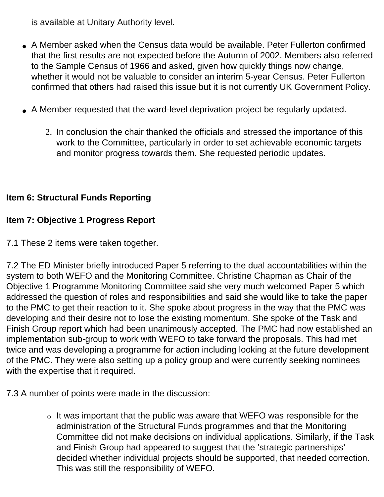is available at Unitary Authority level.

- A Member asked when the Census data would be available. Peter Fullerton confirmed that the first results are not expected before the Autumn of 2002. Members also referred to the Sample Census of 1966 and asked, given how quickly things now change, whether it would not be valuable to consider an interim 5-year Census. Peter Fullerton confirmed that others had raised this issue but it is not currently UK Government Policy.
- A Member requested that the ward-level deprivation project be regularly updated.
	- 2. In conclusion the chair thanked the officials and stressed the importance of this work to the Committee, particularly in order to set achievable economic targets and monitor progress towards them. She requested periodic updates.

## **Item 6: Structural Funds Reporting**

## **Item 7: Objective 1 Progress Report**

7.1 These 2 items were taken together.

7.2 The ED Minister briefly introduced Paper 5 referring to the dual accountabilities within the system to both WEFO and the Monitoring Committee. Christine Chapman as Chair of the Objective 1 Programme Monitoring Committee said she very much welcomed Paper 5 which addressed the question of roles and responsibilities and said she would like to take the paper to the PMC to get their reaction to it. She spoke about progress in the way that the PMC was developing and their desire not to lose the existing momentum. She spoke of the Task and Finish Group report which had been unanimously accepted. The PMC had now established an implementation sub-group to work with WEFO to take forward the proposals. This had met twice and was developing a programme for action including looking at the future development of the PMC. They were also setting up a policy group and were currently seeking nominees with the expertise that it required.

7.3 A number of points were made in the discussion:

 $\circ$  It was important that the public was aware that WEFO was responsible for the administration of the Structural Funds programmes and that the Monitoring Committee did not make decisions on individual applications. Similarly, if the Task and Finish Group had appeared to suggest that the 'strategic partnerships' decided whether individual projects should be supported, that needed correction. This was still the responsibility of WEFO.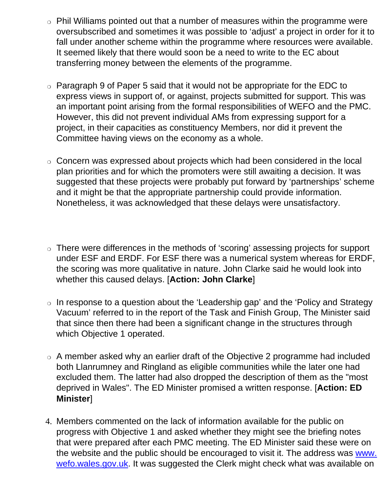- ❍ Phil Williams pointed out that a number of measures within the programme were oversubscribed and sometimes it was possible to 'adjust' a project in order for it to fall under another scheme within the programme where resources were available. It seemed likely that there would soon be a need to write to the EC about transferring money between the elements of the programme.
- $\circ$  Paragraph 9 of Paper 5 said that it would not be appropriate for the EDC to express views in support of, or against, projects submitted for support. This was an important point arising from the formal responsibilities of WEFO and the PMC. However, this did not prevent individual AMs from expressing support for a project, in their capacities as constituency Members, nor did it prevent the Committee having views on the economy as a whole.
- ❍ Concern was expressed about projects which had been considered in the local plan priorities and for which the promoters were still awaiting a decision. It was suggested that these projects were probably put forward by 'partnerships' scheme and it might be that the appropriate partnership could provide information. Nonetheless, it was acknowledged that these delays were unsatisfactory.
- ❍ There were differences in the methods of 'scoring' assessing projects for support under ESF and ERDF. For ESF there was a numerical system whereas for ERDF, the scoring was more qualitative in nature. John Clarke said he would look into whether this caused delays. [**Action: John Clarke**]
- ❍ In response to a question about the 'Leadership gap' and the 'Policy and Strategy Vacuum' referred to in the report of the Task and Finish Group, The Minister said that since then there had been a significant change in the structures through which Objective 1 operated.
- ❍ A member asked why an earlier draft of the Objective 2 programme had included both Llanrumney and Ringland as eligible communities while the later one had excluded them. The latter had also dropped the description of them as the "most deprived in Wales". The ED Minister promised a written response. [**Action: ED Minister**]
- 4. Members commented on the lack of information available for the public on progress with Objective 1 and asked whether they might see the briefing notes that were prepared after each PMC meeting. The ED Minister said these were on the website and the public should be encouraged to visit it. The address was www. wefo.wales.gov.uk. It was suggested the Clerk might check what was available on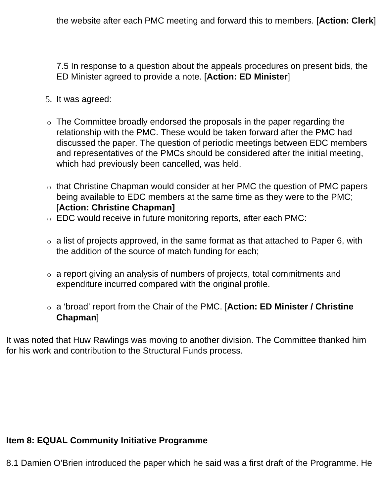the website after each PMC meeting and forward this to members. [**Action: Clerk**]

7.5 In response to a question about the appeals procedures on present bids, the ED Minister agreed to provide a note. [**Action: ED Minister**]

- 5. It was agreed:
- $\circ$  The Committee broadly endorsed the proposals in the paper regarding the relationship with the PMC. These would be taken forward after the PMC had discussed the paper. The question of periodic meetings between EDC members and representatives of the PMCs should be considered after the initial meeting, which had previously been cancelled, was held.
- ❍ that Christine Chapman would consider at her PMC the question of PMC papers being available to EDC members at the same time as they were to the PMC; [**Action: Christine Chapman]**
- ❍ EDC would receive in future monitoring reports, after each PMC:
- $\circ$  a list of projects approved, in the same format as that attached to Paper 6, with the addition of the source of match funding for each;
- $\circ$  a report giving an analysis of numbers of projects, total commitments and expenditure incurred compared with the original profile.
- ❍ a 'broad' report from the Chair of the PMC. [**Action: ED Minister / Christine Chapman**]

It was noted that Huw Rawlings was moving to another division. The Committee thanked him for his work and contribution to the Structural Funds process.

#### **Item 8: EQUAL Community Initiative Programme**

8.1 Damien O'Brien introduced the paper which he said was a first draft of the Programme. He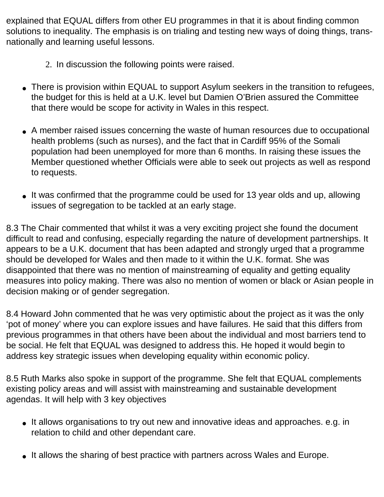explained that EQUAL differs from other EU programmes in that it is about finding common solutions to inequality. The emphasis is on trialing and testing new ways of doing things, transnationally and learning useful lessons.

- 2. In discussion the following points were raised.
- There is provision within EQUAL to support Asylum seekers in the transition to refugees, the budget for this is held at a U.K. level but Damien O'Brien assured the Committee that there would be scope for activity in Wales in this respect.
- A member raised issues concerning the waste of human resources due to occupational health problems (such as nurses), and the fact that in Cardiff 95% of the Somali population had been unemployed for more than 6 months. In raising these issues the Member questioned whether Officials were able to seek out projects as well as respond to requests.
- It was confirmed that the programme could be used for 13 year olds and up, allowing issues of segregation to be tackled at an early stage.

8.3 The Chair commented that whilst it was a very exciting project she found the document difficult to read and confusing, especially regarding the nature of development partnerships. It appears to be a U.K. document that has been adapted and strongly urged that a programme should be developed for Wales and then made to it within the U.K. format. She was disappointed that there was no mention of mainstreaming of equality and getting equality measures into policy making. There was also no mention of women or black or Asian people in decision making or of gender segregation.

8.4 Howard John commented that he was very optimistic about the project as it was the only 'pot of money' where you can explore issues and have failures. He said that this differs from previous programmes in that others have been about the individual and most barriers tend to be social. He felt that EQUAL was designed to address this. He hoped it would begin to address key strategic issues when developing equality within economic policy.

8.5 Ruth Marks also spoke in support of the programme. She felt that EQUAL complements existing policy areas and will assist with mainstreaming and sustainable development agendas. It will help with 3 key objectives

- It allows organisations to try out new and innovative ideas and approaches. e.g. in relation to child and other dependant care.
- It allows the sharing of best practice with partners across Wales and Europe.